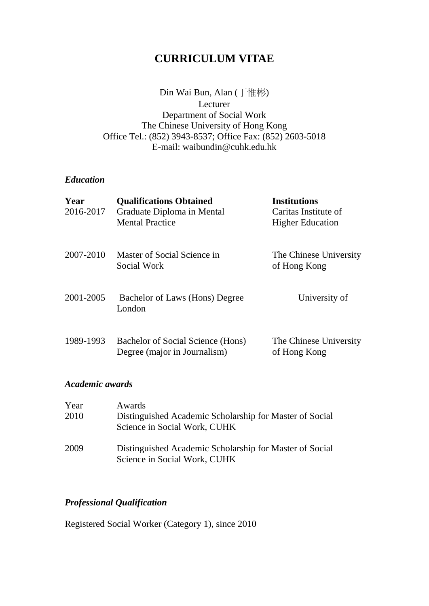## **CURRICULUM VITAE**

Din Wai Bun, Alan (丁惟彬) Lecturer Department of Social Work The Chinese University of Hong Kong Office Tel.: (852) 3943-8537; Office Fax: (852) 2603-5018 E-mail: waibundin@cuhk.edu.hk

#### *Education*

| Year<br>2016-2017 | <b>Qualifications Obtained</b><br>Graduate Diploma in Mental      | <b>Institutions</b><br>Caritas Institute of |
|-------------------|-------------------------------------------------------------------|---------------------------------------------|
|                   | <b>Mental Practice</b>                                            | <b>Higher Education</b>                     |
| 2007-2010         | Master of Social Science in<br>Social Work                        | The Chinese University<br>of Hong Kong      |
| 2001-2005         | Bachelor of Laws (Hons) Degree<br>London                          | University of                               |
| 1989-1993         | Bachelor of Social Science (Hons)<br>Degree (major in Journalism) | The Chinese University<br>of Hong Kong      |

### *Academic awards*

| Year | Awards                                                                                  |
|------|-----------------------------------------------------------------------------------------|
| 2010 | Distinguished Academic Scholarship for Master of Social<br>Science in Social Work, CUHK |
| 2009 | Distinguished Academic Scholarship for Master of Social<br>Science in Social Work, CUHK |

## *Professional Qualification*

Registered Social Worker (Category 1), since 2010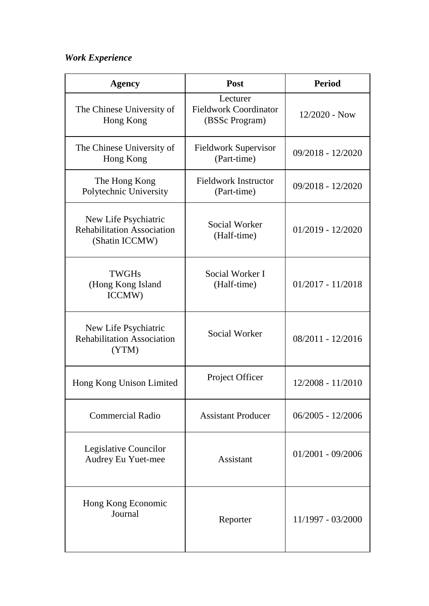# *Work Experience*

| Agency                                                                      | Post                                                       | <b>Period</b>       |
|-----------------------------------------------------------------------------|------------------------------------------------------------|---------------------|
| The Chinese University of<br>Hong Kong                                      | Lecturer<br><b>Fieldwork Coordinator</b><br>(BSSc Program) | $12/2020$ - Now     |
| The Chinese University of<br>Hong Kong                                      | <b>Fieldwork Supervisor</b><br>(Part-time)                 | $09/2018 - 12/2020$ |
| The Hong Kong<br>Polytechnic University                                     | <b>Fieldwork Instructor</b><br>(Part-time)                 | 09/2018 - 12/2020   |
| New Life Psychiatric<br><b>Rehabilitation Association</b><br>(Shatin ICCMW) | <b>Social Worker</b><br>(Half-time)                        | $01/2019 - 12/2020$ |
| <b>TWGHs</b><br>(Hong Kong Island<br>ICCMW)                                 | Social Worker I<br>(Half-time)                             | $01/2017 - 11/2018$ |
| New Life Psychiatric<br><b>Rehabilitation Association</b><br>(YTM)          | <b>Social Worker</b>                                       | 08/2011 - 12/2016   |
| Hong Kong Unison Limited                                                    | Project Officer                                            | 12/2008 - 11/2010   |
| <b>Commercial Radio</b>                                                     | <b>Assistant Producer</b>                                  | $06/2005 - 12/2006$ |
| Legislative Councilor<br>Audrey Eu Yuet-mee                                 | Assistant                                                  | $01/2001 - 09/2006$ |
| Hong Kong Economic<br>Journal                                               | Reporter                                                   | 11/1997 - 03/2000   |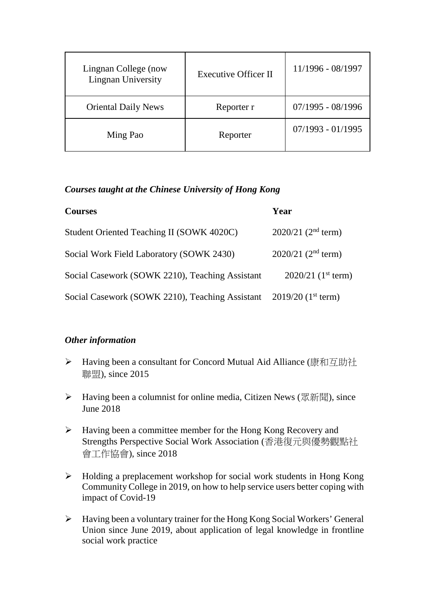| Lingnan College (now<br>Lingnan University | <b>Executive Officer II</b> | 11/1996 - 08/1997   |
|--------------------------------------------|-----------------------------|---------------------|
| <b>Oriental Daily News</b>                 | Reporter r                  | $07/1995 - 08/1996$ |
| Ming Pao                                   | Reporter                    | $07/1993 - 01/1995$ |

### *Courses taught at the Chinese University of Hong Kong*

| <b>Courses</b>                                                                 | Year                             |
|--------------------------------------------------------------------------------|----------------------------------|
| Student Oriented Teaching II (SOWK 4020C)                                      | $2020/21$ (2 <sup>nd</sup> term) |
| Social Work Field Laboratory (SOWK 2430)                                       | $2020/21$ (2 <sup>nd</sup> term) |
| Social Casework (SOWK 2210), Teaching Assistant                                | $2020/21$ (1 <sup>st</sup> term) |
| Social Casework (SOWK 2210), Teaching Assistant 2019/20 (1 <sup>st</sup> term) |                                  |

### *Other information*

- ▶ Having been a consultant for Concord Mutual Aid Alliance (康和互助社 聯盟), since 2015
- ▶ Having been a columnist for online media, Citizen News (眾新聞), since June 2018
- Having been a committee member for the Hong Kong Recovery and Strengths Perspective Social Work Association (香港復元與優勢觀點社 會工作協會), since 2018
- $\triangleright$  Holding a preplacement workshop for social work students in Hong Kong Community College in 2019, on how to help service users better coping with impact of Covid-19
- Having been a voluntary trainer for the Hong Kong Social Workers' General Union since June 2019, about application of legal knowledge in frontline social work practice